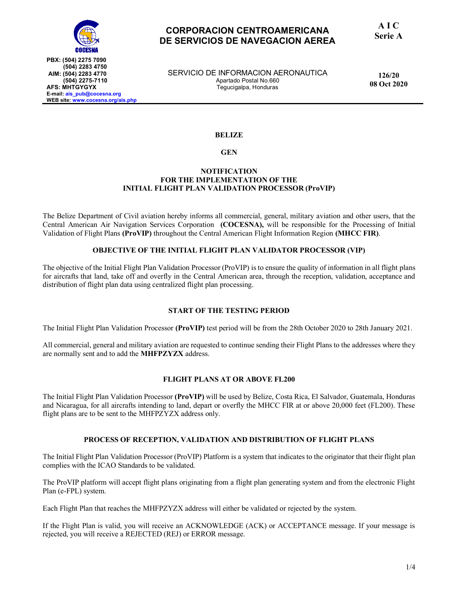

## **CORPORACION CENTROAMERICANA DE SERVICIOS DE NAVEGACION AEREA**

**A I C Serie A**

SERVICIO DE INFORMACION AERONAUTICA Apartado Postal No.660 Tegucigalpa, Honduras

**126/20 08 Oct 2020**

#### **BELIZE**

**GEN**

#### **NOTIFICATION FOR THE IMPLEMENTATION OF THE INITIAL FLIGHT PLAN VALIDATION PROCESSOR (ProVIP)**

The Belize Department of Civil aviation hereby informs all commercial, general, military aviation and other users, that the Central American Air Navigation Services Corporation **(COCESNA),** will be responsible for the Processing of Initial Validation of Flight Plans **(ProVIP)** throughout the Central American Flight Information Region **(MHCC FIR)**.

## **OBJECTIVE OF THE INITIAL FLIGHT PLAN VALIDATOR PROCESSOR (VIP)**

The objective of the Initial Flight Plan Validation Processor (ProVIP) is to ensure the quality of information in all flight plans for aircrafts that land, take off and overfly in the Central American area, through the reception, validation, acceptance and distribution of flight plan data using centralized flight plan processing.

## **START OF THE TESTING PERIOD**

The Initial Flight Plan Validation Processor **(ProVIP)** test period will be from the 28th October 2020 to 28th January 2021.

All commercial, general and military aviation are requested to continue sending their Flight Plans to the addresses where they are normally sent and to add the **MHFPZYZX** address.

## **FLIGHT PLANS AT OR ABOVE FL200**

The Initial Flight Plan Validation Processor **(ProVIP)** will be used by Belize, Costa Rica, El Salvador, Guatemala, Honduras and Nicaragua, for all aircrafts intending to land, depart or overfly the MHCC FIR at or above 20,000 feet (FL200). These flight plans are to be sent to the MHFPZYZX address only.

## **PROCESS OF RECEPTION, VALIDATION AND DISTRIBUTION OF FLIGHT PLANS**

The Initial Flight Plan Validation Processor (ProVIP) Platform is a system that indicates to the originator that their flight plan complies with the ICAO Standards to be validated.

The ProVIP platform will accept flight plans originating from a flight plan generating system and from the electronic Flight Plan (e-FPL) system.

Each Flight Plan that reaches the MHFPZYZX address will either be validated or rejected by the system.

If the Flight Plan is valid, you will receive an ACKNOWLEDGE (ACK) or ACCEPTANCE message. If your message is rejected, you will receive a REJECTED (REJ) or ERROR message.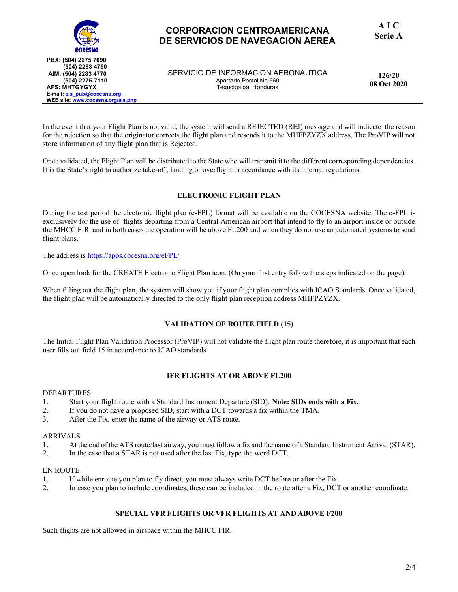

# **CORPORACION CENTROAMERICANA DE SERVICIOS DE NAVEGACION AEREA**

**A I C Serie A**

SERVICIO DE INFORMACION AERONAUTICA Apartado Postal No.660 Tegucigalpa, Honduras

**126/20 08 Oct 2020**

In the event that your Flight Plan is not valid, the system will send a REJECTED (REJ) message and will indicate the reason for the rejection so that the originator corrects the flight plan and resends it to the MHFPZYZX address. The ProVIP will not store information of any flight plan that is Rejected.

Once validated, the Flight Plan will be distributed to the State who will transmit it to the different corresponding dependencies. It is the State's right to authorize take-off, landing or overflight in accordance with its internal regulations.

## **ELECTRONIC FLIGHT PLAN**

During the test period the electronic flight plan (e-FPL) format will be available on the COCESNA website. The e-FPL is exclusively for the use of flights departing from a Central American airport that intend to fly to an airport inside or outside the MHCC FIR and in both cases the operation will be above FL200 and when they do not use an automated systems to send flight plans.

The address i[s https://apps.cocesna.org/eFPL/](https://apps.cocesna.org/eFPL/)

Once open look for the CREATE Electronic Flight Plan icon. (On your first entry follow the steps indicated on the page).

When filling out the flight plan, the system will show you if your flight plan complies with ICAO Standards. Once validated, the flight plan will be automatically directed to the only flight plan reception address MHFPZYZX.

## **VALIDATION OF ROUTE FIELD (15)**

The Initial Flight Plan Validation Processor (ProVIP) will not validate the flight plan route therefore, it is important that each user fills out field 15 in accordance to ICAO standards.

## **IFR FLIGHTS AT OR ABOVE FL200**

#### DEPARTURES

- 1. Start your flight route with a Standard Instrument Departure (SID). **Note: SIDs ends with a Fix.**
- 2. If you do not have a proposed SID, start with a DCT towards a fix within the TMA.
- 3. After the Fix, enter the name of the airway or ATS route.

#### ARRIVALS

- 1. At the end of the ATS route/last airway, you must follow a fix and the name of a Standard Instrument Arrival (STAR).
- 2. In the case that a STAR is not used after the last Fix, type the word DCT.

#### EN ROUTE

- 1. If while enroute you plan to fly direct, you must always write DCT before or after the Fix.
- 2. In case you plan to include coordinates, these can be included in the route after a Fix, DCT or another coordinate.

## **SPECIAL VFR FLIGHTS OR VFR FLIGHTS AT AND ABOVE F200**

Such flights are not allowed in airspace within the MHCC FIR.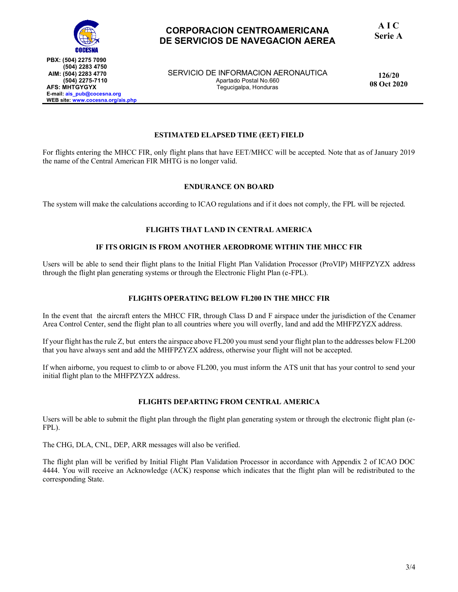

**PBX: (504) 2275 7090 (504) 2283 4750 AIM: (504) 2283 4770 (504) 2275-7110 AFS: MHTGYGYX E-mail[: ais\\_pub@cocesna.org](mailto:ais_pub@cocesna.org) WEB site: [www.cocesna.org/ais.php](http://www.cocesna.org/aip_ca/aip_main.html)**

**CORPORACION CENTROAMERICANA DE SERVICIOS DE NAVEGACION AEREA**

**A I C Serie A**

SERVICIO DE INFORMACION AERONAUTICA Apartado Postal No.660 Tegucigalpa, Honduras

**126/20 08 Oct 2020**

## **ESTIMATED ELAPSED TIME (EET) FIELD**

For flights entering the MHCC FIR, only flight plans that have EET/MHCC will be accepted. Note that as of January 2019 the name of the Central American FIR MHTG is no longer valid.

#### **ENDURANCE ON BOARD**

The system will make the calculations according to ICAO regulations and if it does not comply, the FPL will be rejected.

## **FLIGHTS THAT LAND IN CENTRAL AMERICA**

#### **IF ITS ORIGIN IS FROM ANOTHER AERODROME WITHIN THE MHCC FIR**

Users will be able to send their flight plans to the Initial Flight Plan Validation Processor (ProVIP) MHFPZYZX address through the flight plan generating systems or through the Electronic Flight Plan (e-FPL).

#### **FLIGHTS OPERATING BELOW FL200 IN THE MHCC FIR**

In the event that the aircraft enters the MHCC FIR, through Class D and F airspace under the jurisdiction of the Cenamer Area Control Center, send the flight plan to all countries where you will overfly, land and add the MHFPZYZX address.

If your flight has the rule Z, but enters the airspace above FL200 you must send your flight plan to the addresses below FL200 that you have always sent and add the MHFPZYZX address, otherwise your flight will not be accepted.

If when airborne, you request to climb to or above FL200, you must inform the ATS unit that has your control to send your initial flight plan to the MHFPZYZX address.

#### **FLIGHTS DEPARTING FROM CENTRAL AMERICA**

Users will be able to submit the flight plan through the flight plan generating system or through the electronic flight plan (e-FPL).

The CHG, DLA, CNL, DEP, ARR messages will also be verified.

The flight plan will be verified by Initial Flight Plan Validation Processor in accordance with Appendix 2 of ICAO DOC 4444. You will receive an Acknowledge (ACK) response which indicates that the flight plan will be redistributed to the corresponding State.